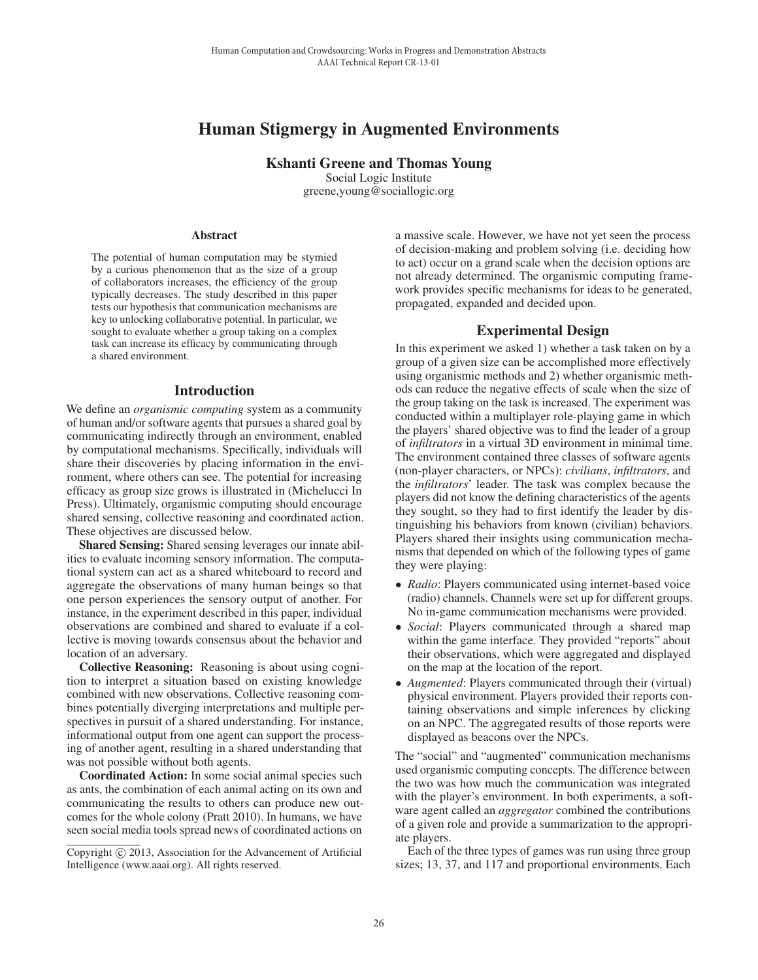# Human Stigmergy in Augmented Environments

Kshanti Greene and Thomas Young Social Logic Institute greene,young@sociallogic.org

#### Abstract

The potential of human computation may be stymied by a curious phenomenon that as the size of a group of collaborators increases, the efficiency of the group typically decreases. The study described in this paper tests our hypothesis that communication mechanisms are key to unlocking collaborative potential. In particular, we sought to evaluate whether a group taking on a complex task can increase its efficacy by communicating through a shared environment.

### Introduction

We define an *organismic computing* system as a community of human and/or software agents that pursues a shared goal by communicating indirectly through an environment, enabled by computational mechanisms. Specifically, individuals will share their discoveries by placing information in the environment, where others can see. The potential for increasing efficacy as group size grows is illustrated in (Michelucci In Press). Ultimately, organismic computing should encourage shared sensing, collective reasoning and coordinated action. These objectives are discussed below.

Shared Sensing: Shared sensing leverages our innate abilities to evaluate incoming sensory information. The computational system can act as a shared whiteboard to record and aggregate the observations of many human beings so that one person experiences the sensory output of another. For instance, in the experiment described in this paper, individual observations are combined and shared to evaluate if a collective is moving towards consensus about the behavior and location of an adversary.

Collective Reasoning: Reasoning is about using cognition to interpret a situation based on existing knowledge combined with new observations. Collective reasoning combines potentially diverging interpretations and multiple perspectives in pursuit of a shared understanding. For instance, informational output from one agent can support the processing of another agent, resulting in a shared understanding that was not possible without both agents.

Coordinated Action: In some social animal species such as ants, the combination of each animal acting on its own and communicating the results to others can produce new outcomes for the whole colony (Pratt 2010). In humans, we have seen social media tools spread news of coordinated actions on

a massive scale. However, we have not yet seen the process of decision-making and problem solving (i.e. deciding how to act) occur on a grand scale when the decision options are not already determined. The organismic computing framework provides specific mechanisms for ideas to be generated, propagated, expanded and decided upon.

## Experimental Design

In this experiment we asked 1) whether a task taken on by a group of a given size can be accomplished more effectively using organismic methods and 2) whether organismic methods can reduce the negative effects of scale when the size of the group taking on the task is increased. The experiment was conducted within a multiplayer role-playing game in which the players' shared objective was to find the leader of a group of *infiltrators* in a virtual 3D environment in minimal time. The environment contained three classes of software agents (non-player characters, or NPCs): *civilians*, *infiltrators*, and the *infiltrators*' leader. The task was complex because the players did not know the defining characteristics of the agents they sought, so they had to first identify the leader by distinguishing his behaviors from known (civilian) behaviors. Players shared their insights using communication mechanisms that depended on which of the following types of game they were playing: Itaman Computation and Cronological With human Computation and Crossing Cross and Thomas Source and Thomas Source and Thomas Source and Thomas Source and Thomas Source and Thomas Source and Thomas Source and Thomas Source

- *Radio*: Players communicated using internet-based voice (radio) channels. Channels were set up for different groups. No in-game communication mechanisms were provided.
- *Social*: Players communicated through a shared map within the game interface. They provided "reports" about their observations, which were aggregated and displayed on the map at the location of the report.
- *Augmented*: Players communicated through their (virtual) physical environment. Players provided their reports containing observations and simple inferences by clicking on an NPC. The aggregated results of those reports were displayed as beacons over the NPCs.

The "social" and "augmented" communication mechanisms used organismic computing concepts. The difference between the two was how much the communication was integrated with the player's environment. In both experiments, a software agent called an *aggregator* combined the contributions of a given role and provide a summarization to the appropriate players.

Each of the three types of games was run using three group sizes; 13, 37, and 117 and proportional environments. Each

Copyright (c) 2013, Association for the Advancement of Artificial Intelligence (www.aaai.org). All rights reserved.